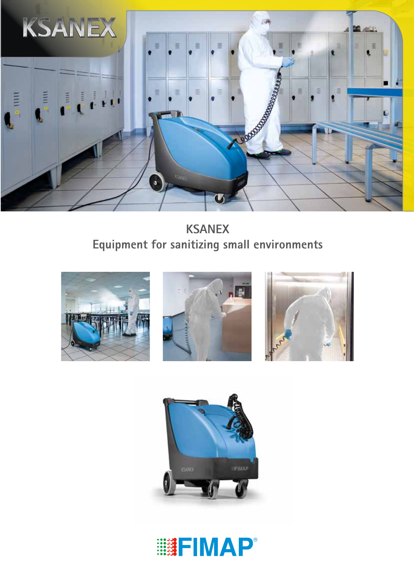

**KSANEX Equipment for sanitizing small environments**









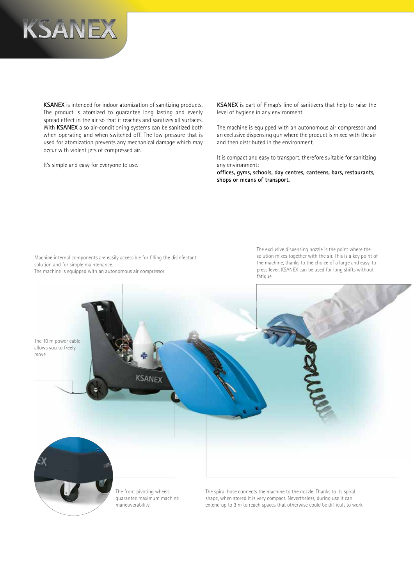

**KSANEX** is intended for indoor atomization of sanitizing products. The product is atomized to guarantee long lasting and evenly spread effect in the air so that it reaches and sanitizes all surfaces. With **KSANEX** also air-conditioning systems can be sanitized both when operating and when switched off. The low pressure that is used for atomization prevents any mechanical damage which may occur with violent jets of compressed air.

It's simple and easy for everyone to use.

**KSANEX** is part of Fimap's line of sanitizers that help to raise the level of hygiene in any environment.

The machine is equipped with an autonomous air compressor and an exclusive dispensing gun where the product is mixed with the air and then distributed in the environment.

It is compact and easy to transport, therefore suitable for sanitizing any environment:

**offices, gyms, schools, day centres, canteens, bars, restaurants, shops or means of transport.**

Machine internal components are easily accessible for filling the disinfectant solution and for simple maintenance. The machine is equipped with an autonomous air compressor

The exclusive dispensing nozzle is the point where the solution mixes together with the air. This is a key point of the machine, thanks to the choice of a large and easy-topress lever, KSANEX can be used for long shifts without fatigue

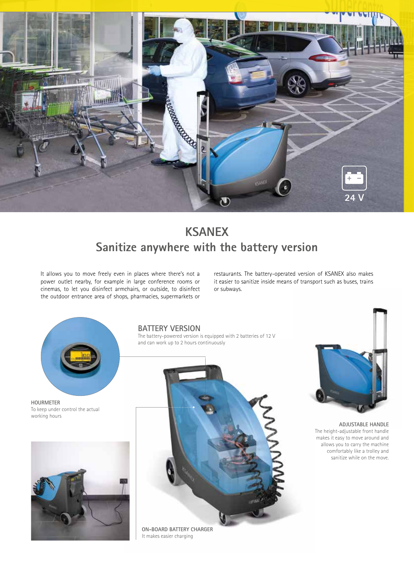

## **KSANEX Sanitize anywhere with the battery version**

It allows you to move freely even in places where there's not a power outlet nearby, for example in large conference rooms or cinemas, to let you disinfect armchairs, or outside, to disinfect the outdoor entrance area of shops, pharmacies, supermarkets or

restaurants. The battery-operated version of KSANEX also makes it easier to sanitize inside means of transport such as buses, trains or subways.



**HOURMETER** To keep under control the actual working hours



## **BATTERY VERSION**

The battery-powered version is equipped with 2 batteries of 12 V and can work up to 2 hours continuously





**ADJUSTABLE HANDLE** The height-adjustable front handle makes it easy to move around and allows you to carry the machine comfortably like a trolley and sanitize while on the move.

It makes easier charging